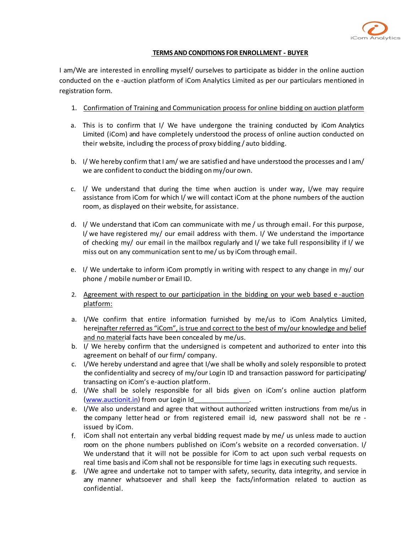

## **TERMS AND CONDITIONS FOR ENROLLMENT - BUYER**

I am/We are interested in enrolling myself/ ourselves to participate as bidder in the online auction conducted on the e -auction platform of iCom Analytics Limited as per our particulars mentioned in registration form.

- 1. Confirmation of Training and Communication process for online bidding on auction platform
- a. This is to confirm that I/ We have undergone the training conducted by iCom Analytics Limited (iCom) and have completely understood the process of online auction conducted on their website, including the process of proxy bidding / auto bidding.
- b. I/ We hereby confirm that I am/ we are satisfied and have understood the processes and I am/ we are confident to conduct the bidding on my/our own.
- c. I/ We understand that during the time when auction is under way, I/we may require assistance from iCom for which I/ we will contact iCom at the phone numbers of the auction room, as displayed on their website, for assistance.
- d. I/ We understand that iCom can communicate with me / us through email. For this purpose, I/ we have registered my/ our email address with them. I/ We understand the importance of checking my/ our email in the mailbox regularly and I/ we take full responsibility if I/ we miss out on any communication sentto me/ us by iCom through email.
- e. I/ We undertake to inform iCom promptly in writing with respect to any change in my/ our phone / mobile number or Email ID.
- 2. Agreement with respect to our participation in the bidding on your web based e -auction platform:
- a. I/We confirm that entire information furnished by me/us to iCom Analytics Limited, hereinafter referred as "iCom", is true and correct to the best of my/our knowledge and belief and no material facts have been concealed by me/us.
- b. I/ We hereby confirm that the undersigned is competent and authorized to enter into this agreement on behalf of our firm/ company.
- c. I/We hereby understand and agree that I/we shall be wholly and solely responsible to protect the confidentiality and secrecy of my/our Login ID and transaction password for participating/ transacting on iCom's e-auction platform.
- d. I/We shall be solely responsible for all bids given on iCom's online auction platform (www.auctionit.in) from our Login Id
- e. I/We also understand and agree that without authorized written instructions from me/us in the company letter head or from registered email id, new password shall not be re issued by iCom.
- f. iCom shall not entertain any verbal bidding request made by me/ us unless made to auction room on the phone numbers published on iCom's website on a recorded conversation. I/ We understand that it will not be possible for iCom to act upon such verbal requests on real time basis and iCom shall not be responsible for time lags in executing such requests.
- g. I/We agree and undertake not to tamper with safety, security, data integrity, and service in any manner whatsoever and shall keep the facts/information related to auction as confidential.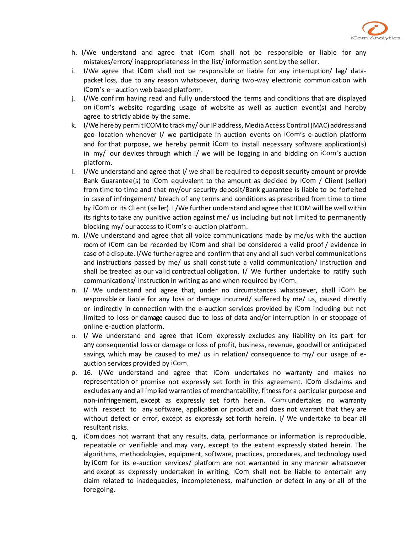

- h. I/We understand and agree that iCom shall not be responsible or liable for any mistakes/errors/ inappropriateness in the list/ information sent by the seller.
- i. I/We agree that iCom shall not be responsible or liable for any interruption/ lag/ datapacket loss, due to any reason whatsoever, during two -way electronic communication with iCom's e– auction web based platform.
- j. I/We confirm having read and fully understood the terms and conditions that are displayed on iCom's website regarding usage of website as well as auction event(s) and hereby agree to strictly abide by the same.
- k. I/We hereby permitICOM to track my/ our IP address, Media Access Control (MAC) address and geo- location whenever I/ we participate in auction events on iCom's e-auction platform and for that purpose, we hereby permit iCom to install necessary software application(s) in my/ our devices through which I/ we will be logging in and bidding on iCom's auction platform.
- l. I/We understand and agree that I/ we shall be required to deposit security amount or provide Bank Guarantee(s) to iCom equivalent to the amount as decided by iCom / Client (seller) from time to time and that my/our security deposit/Bank guarantee is liable to be forfeited in case of infringement/ breach of any terms and conditions as prescribed from time to time by iCom or its Client (seller). I/We further understand and agree that ICOM will be well within its rights to take any punitive action against me/ us including but not limited to permanently blocking my/ our access to iCom's e-auction platform.
- m. I/We understand and agree that all voice communications made by me/us with the auction room of iCom can be recorded by iCom and shall be considered a valid proof / evidence in case of a dispute. I/We further agree and confirm that any and all such verbal communications and instructions passed by me/ us shall constitute a valid communication/ instruction and shall be treated as our valid contractual obligation. I/ We further undertake to ratify such communications/ instruction in writing as and when required by iCom.
- n. I/ We understand and agree that, under no circumstances whatsoever, shall iCom be responsible or liable for any loss or damage incurred/ suffered by me/ us, caused directly or indirectly in connection with the e-auction services provided by iCom including but not limited to loss or damage caused due to loss of data and/or interruption in or stoppage of online e-auction platform.
- o. I/ We understand and agree that iCom expressly excludes any liability on its part for any consequential loss or damage or loss of profit, business, revenue, goodwill or anticipated savings, which may be caused to me/ us in relation/ consequence to my/ our usage of eauction services provided by iCom.
- p. 16. I/We understand and agree that iCom undertakes no warranty and makes no representation or promise not expressly set forth in this agreement. iCom disclaims and excludes any and all implied warranties of merchantability, fitness for a particular purpose and non-infringement, except as expressly set forth herein. iCom undertakes no warranty with respect to any software, application or product and does not warrant that they are without defect or error, except as expressly set forth herein. I/ We undertake to bear all resultant risks.
- q. iCom does not warrant that any results, data, performance or information is reproducible, repeatable or verifiable and may vary, except to the extent expressly stated herein. The algorithms, methodologies, equipment, software, practices, procedures, and technology used by iCom for its e-auction services/ platform are not warranted in any manner whatsoever and except as expressly undertaken in writing, iCom shall not be liable to entertain any claim related to inadequacies, incompleteness, malfunction or defect in any or all of the foregoing.